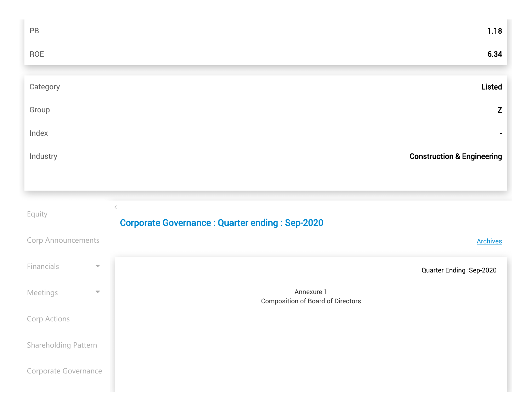| $\mathsf{PB}$                          | 1.18                                                               |
|----------------------------------------|--------------------------------------------------------------------|
| ROE                                    | 6.34                                                               |
|                                        |                                                                    |
| Category                               | <b>Listed</b>                                                      |
| Group                                  | Z                                                                  |
| Index                                  | ۰.                                                                 |
| Industry                               | <b>Construction &amp; Engineering</b>                              |
|                                        |                                                                    |
|                                        |                                                                    |
| Equity                                 | $\langle$<br><b>Corporate Governance: Quarter ending: Sep-2020</b> |
| Corp Announcements                     | <b>Archives</b>                                                    |
| Financials<br>$\overline{\phantom{m}}$ | Quarter Ending: Sep-2020                                           |
| Meetings<br>$\overline{\mathbf{v}}$    | Annexure 1<br><b>Composition of Board of Directors</b>             |
| Corp Actions                           |                                                                    |
| Shareholding Pattern                   |                                                                    |
| Corporate Governance                   |                                                                    |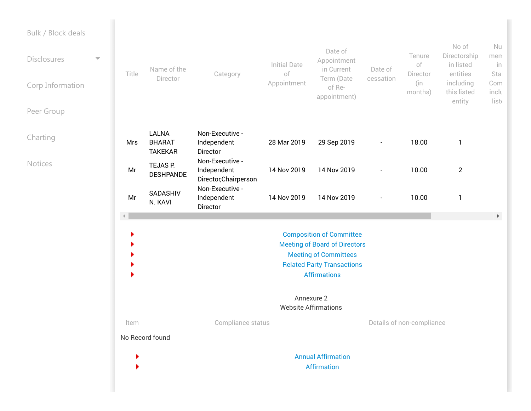| Bulk / Block deals<br><b>Disclosures</b><br>Corp Information<br>Peer Group | $\overline{\phantom{0}}$ | Title                | Name of the<br>Director                         | Category                                                | <b>Initial Date</b><br>of<br>Appointment  | Date of<br>Appointment<br>in Current<br>Term (Date<br>of Re-<br>appointment)                                                                                        | Date of<br>cessation     | Tenure<br>of<br>Director<br>(in<br>months) | No of<br>Directorship<br>in listed<br>entities<br>including<br>this listed<br>entity | Nu<br>men<br>in<br>Stal<br>Com<br>inclu<br>liste |
|----------------------------------------------------------------------------|--------------------------|----------------------|-------------------------------------------------|---------------------------------------------------------|-------------------------------------------|---------------------------------------------------------------------------------------------------------------------------------------------------------------------|--------------------------|--------------------------------------------|--------------------------------------------------------------------------------------|--------------------------------------------------|
| Charting                                                                   |                          | Mrs                  | <b>LALNA</b><br><b>BHARAT</b><br><b>TAKEKAR</b> | Non-Executive -<br>Independent<br>Director              | 28 Mar 2019                               | 29 Sep 2019                                                                                                                                                         | $\overline{\phantom{a}}$ | 18.00                                      | $\mathbf{1}$                                                                         |                                                  |
| <b>Notices</b>                                                             |                          | Mr                   | TEJAS P.<br><b>DESHPANDE</b>                    | Non-Executive -<br>Independent<br>Director, Chairperson | 14 Nov 2019                               | 14 Nov 2019                                                                                                                                                         | $\blacksquare$           | 10.00                                      | $\overline{2}$                                                                       |                                                  |
|                                                                            |                          | Mr                   | SADASHIV<br>N. KAVI                             | Non-Executive -<br>Independent<br>Director              | 14 Nov 2019                               | 14 Nov 2019                                                                                                                                                         |                          | 10.00                                      | $\mathbf{1}$                                                                         |                                                  |
|                                                                            |                          | $\blacktriangleleft$ |                                                 |                                                         |                                           | <b>Composition of Committee</b><br><b>Meeting of Board of Directors</b><br><b>Meeting of Committees</b><br><b>Related Party Transactions</b><br><b>Affirmations</b> |                          |                                            |                                                                                      | $\blacktriangleright$                            |
|                                                                            |                          |                      |                                                 |                                                         | Annexure 2<br><b>Website Affirmations</b> |                                                                                                                                                                     |                          |                                            |                                                                                      |                                                  |
|                                                                            |                          | Item                 | No Record found                                 | Compliance status                                       |                                           |                                                                                                                                                                     |                          | Details of non-compliance                  |                                                                                      |                                                  |
|                                                                            |                          |                      |                                                 |                                                         |                                           | <b>Annual Affirmation</b><br><b>Affirmation</b>                                                                                                                     |                          |                                            |                                                                                      |                                                  |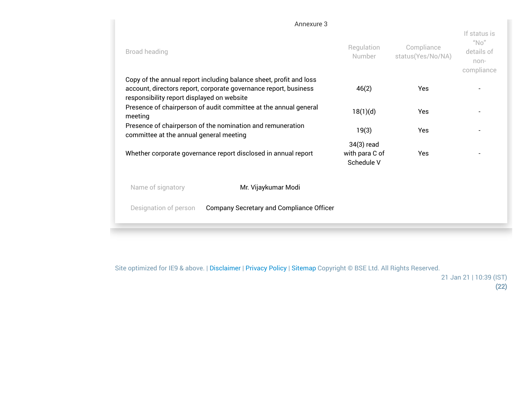|                                            | Annexure 3                                                                                                                             |                                            |                                                                                            |  |
|--------------------------------------------|----------------------------------------------------------------------------------------------------------------------------------------|--------------------------------------------|--------------------------------------------------------------------------------------------|--|
| Broad heading                              | Regulation<br>Number                                                                                                                   | Compliance<br>status(Yes/No/NA)            | If status is<br>$^{\prime\prime}$ No $^{\prime\prime}$<br>details of<br>non-<br>compliance |  |
| responsibility report displayed on website | Copy of the annual report including balance sheet, profit and loss<br>account, directors report, corporate governance report, business | 46(2)                                      | Yes                                                                                        |  |
| meeting                                    | Presence of chairperson of audit committee at the annual general                                                                       | 18(1)(d)                                   | Yes                                                                                        |  |
| committee at the annual general meeting    | Presence of chairperson of the nomination and remuneration                                                                             | 19(3)                                      | <b>Yes</b>                                                                                 |  |
|                                            | Whether corporate governance report disclosed in annual report                                                                         | 34(3) read<br>with para C of<br>Schedule V | <b>Yes</b>                                                                                 |  |
| Name of signatory                          | Mr. Vijaykumar Modi                                                                                                                    |                                            |                                                                                            |  |
| Designation of person                      | Company Secretary and Compliance Officer                                                                                               |                                            |                                                                                            |  |
|                                            |                                                                                                                                        |                                            |                                                                                            |  |

Site optimized for IE9 & above. | Disclaimer | Privacy Policy | [Sitemap](https://www.bseindia.com/sitemap.html) Copyright © BSE Ltd. All Rights Reserved.

21 Jan 21 | 10:39 (IST) (22)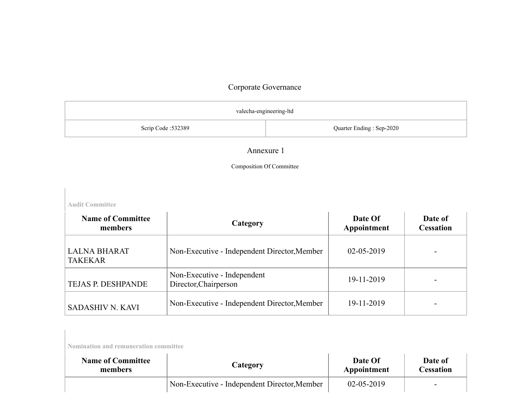| valecha-engineering-ltd |                          |  |  |  |
|-------------------------|--------------------------|--|--|--|
| Scrip Code: 532389      | Quarter Ending: Sep-2020 |  |  |  |

#### Annexure 1

#### Composition Of Committee

**Audit Committee**

| <b>Name of Committee</b><br>members   | Category                                             | Date Of<br>Appointment | Date of<br><b>Cessation</b> |
|---------------------------------------|------------------------------------------------------|------------------------|-----------------------------|
| <b>LALNA BHARAT</b><br><b>TAKEKAR</b> | Non-Executive - Independent Director, Member         | $02 - 05 - 2019$       |                             |
| TEJAS P. DESHPANDE                    | Non-Executive - Independent<br>Director, Chairperson | 19-11-2019             |                             |
| <b>SADASHIV N. KAVI</b>               | Non-Executive - Independent Director, Member         | 19-11-2019             |                             |

**Nomination and remuneration committee**

| <b>Name of Committee</b> | Category                                     | Date Of          | Date of                  |
|--------------------------|----------------------------------------------|------------------|--------------------------|
| members                  |                                              | Appointment      | Cessation                |
|                          | Non-Executive - Independent Director, Member | $02 - 05 - 2019$ | $\overline{\phantom{0}}$ |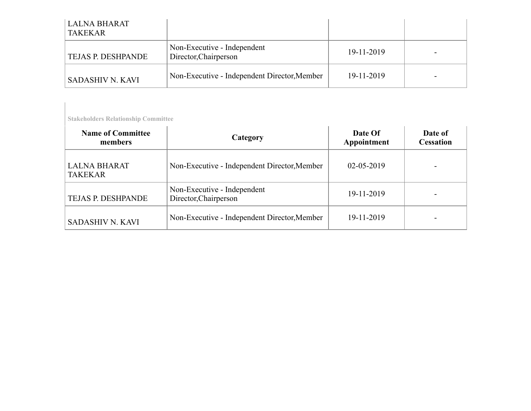| <b>LALNA BHARAT</b><br><b>TAKEKAR</b> |                                                      |            |  |
|---------------------------------------|------------------------------------------------------|------------|--|
| <b>TEJAS P. DESHPANDE</b>             | Non-Executive - Independent<br>Director, Chairperson | 19-11-2019 |  |
| <b>SADASHIV N. KAVI</b>               | Non-Executive - Independent Director, Member         | 19-11-2019 |  |

**Stakeholders Relationship Committee**

| <b>Name of Committee</b><br>members   | Category                                             | Date Of<br>Appointment | Date of<br><b>Cessation</b> |
|---------------------------------------|------------------------------------------------------|------------------------|-----------------------------|
| <b>LALNA BHARAT</b><br><b>TAKEKAR</b> | Non-Executive - Independent Director, Member         | $02 - 05 - 2019$       |                             |
| TEJAS P. DESHPANDE                    | Non-Executive - Independent<br>Director, Chairperson | 19-11-2019             |                             |
| <b>SADASHIV N. KAVI</b>               | Non-Executive - Independent Director, Member         | 19-11-2019             |                             |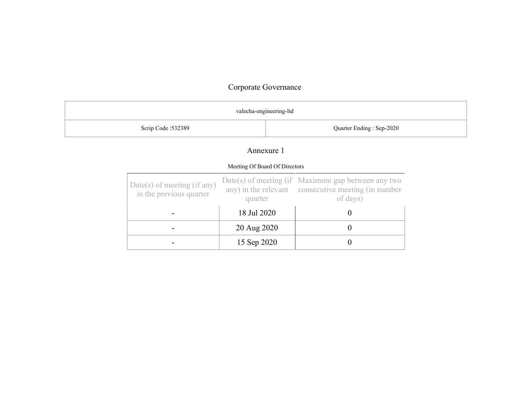| valecha-engineering-ltd |                          |  |  |
|-------------------------|--------------------------|--|--|
| Scrip Code: 532389      | Quarter Ending: Sep-2020 |  |  |

### Annexure 1

| Meeting Of Board Of Directors                            |             |                                                                                                                         |  |  |  |
|----------------------------------------------------------|-------------|-------------------------------------------------------------------------------------------------------------------------|--|--|--|
| $Date(s)$ of meeting (if any)<br>in the previous quarter | quarter     | $Date(s)$ of meeting (if Maximum gap between any two<br>any) in the relevant consecutive meeting (in number<br>of days) |  |  |  |
|                                                          | 18 Jul 2020 |                                                                                                                         |  |  |  |
|                                                          | 20 Aug 2020 |                                                                                                                         |  |  |  |
|                                                          | 15 Sep 2020 |                                                                                                                         |  |  |  |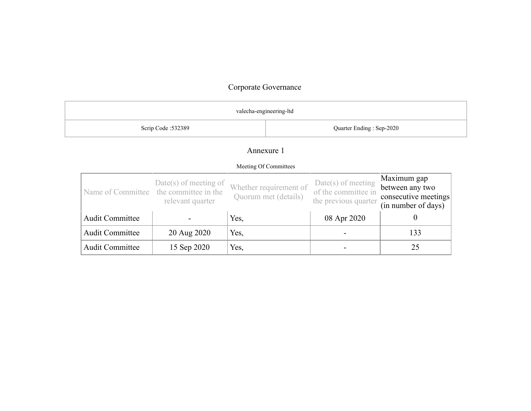|                                                |                                                                                       | valecha-engineering-ltd |                                                |                                                                     |                                                                               |
|------------------------------------------------|---------------------------------------------------------------------------------------|-------------------------|------------------------------------------------|---------------------------------------------------------------------|-------------------------------------------------------------------------------|
| Quarter Ending: Sep-2020<br>Scrip Code: 532389 |                                                                                       |                         |                                                |                                                                     |                                                                               |
|                                                |                                                                                       | Annexure 1              |                                                |                                                                     |                                                                               |
|                                                |                                                                                       |                         | Meeting Of Committees                          |                                                                     |                                                                               |
|                                                | $Date(s)$ of meeting of<br>Name of Committee the committee in the<br>relevant quarter |                         | Whether requirement of<br>Quorum met (details) | $Date(s)$ of meeting<br>of the committee in<br>the previous quarter | Maximum gap<br>between any two<br>consecutive meetings<br>(in number of days) |
| <b>Audit Committee</b>                         |                                                                                       | Yes,                    |                                                | 08 Apr 2020                                                         | $\boldsymbol{0}$                                                              |
| <b>Audit Committee</b>                         | 20 Aug 2020                                                                           | Yes,                    |                                                |                                                                     | 133                                                                           |
| <b>Audit Committee</b>                         | 15 Sep 2020                                                                           | Yes,                    |                                                |                                                                     | 25                                                                            |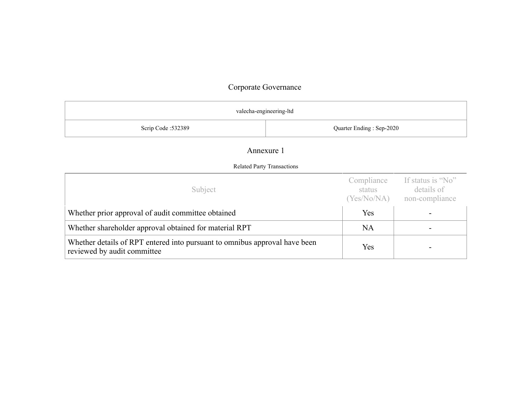| valecha-engineering-ltd                        |                                                                                                       |  |  |  |  |
|------------------------------------------------|-------------------------------------------------------------------------------------------------------|--|--|--|--|
| Scrip Code: 532389<br>Quarter Ending: Sep-2020 |                                                                                                       |  |  |  |  |
| Annexure 1                                     |                                                                                                       |  |  |  |  |
| <b>Related Party Transactions</b>              |                                                                                                       |  |  |  |  |
| Subject                                        | Compliance<br>If status is "No"<br>details of<br>status<br>$N_{\alpha}N_{\alpha}N_{\alpha}N_{\alpha}$ |  |  |  |  |

|                                                                                                           |     | (Yes/No/NA) non-compliance |
|-----------------------------------------------------------------------------------------------------------|-----|----------------------------|
| Whether prior approval of audit committee obtained                                                        | Yes |                            |
| Whether shareholder approval obtained for material RPT                                                    | NA  |                            |
| Whether details of RPT entered into pursuant to omnibus approval have been<br>reviewed by audit committee | Yes |                            |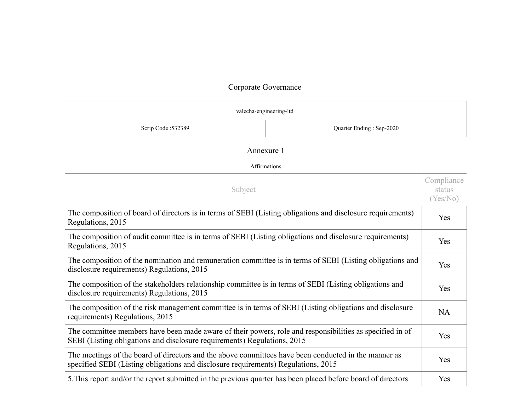|                    | valecha-engineering-ltd  |
|--------------------|--------------------------|
| Scrip Code: 532389 | Quarter Ending: Sep-2020 |

### Annexure 1

| Subject                                                                                                                                                                                    | Compliance<br>status<br>(Yes/No) |
|--------------------------------------------------------------------------------------------------------------------------------------------------------------------------------------------|----------------------------------|
| The composition of board of directors is in terms of SEBI (Listing obligations and disclosure requirements)<br>Regulations, 2015                                                           | Yes                              |
| The composition of audit committee is in terms of SEBI (Listing obligations and disclosure requirements)<br>Regulations, 2015                                                              | Yes                              |
| The composition of the nomination and remuneration committee is in terms of SEBI (Listing obligations and<br>disclosure requirements) Regulations, 2015                                    |                                  |
| The composition of the stakeholders relationship committee is in terms of SEBI (Listing obligations and<br>disclosure requirements) Regulations, 2015                                      |                                  |
| The composition of the risk management committee is in terms of SEBI (Listing obligations and disclosure<br>requirements) Regulations, 2015                                                |                                  |
| The committee members have been made aware of their powers, role and responsibilities as specified in of<br>SEBI (Listing obligations and disclosure requirements) Regulations, 2015       |                                  |
| The meetings of the board of directors and the above committees have been conducted in the manner as<br>specified SEBI (Listing obligations and disclosure requirements) Regulations, 2015 |                                  |
| 5. This report and/or the report submitted in the previous quarter has been placed before board of directors                                                                               |                                  |